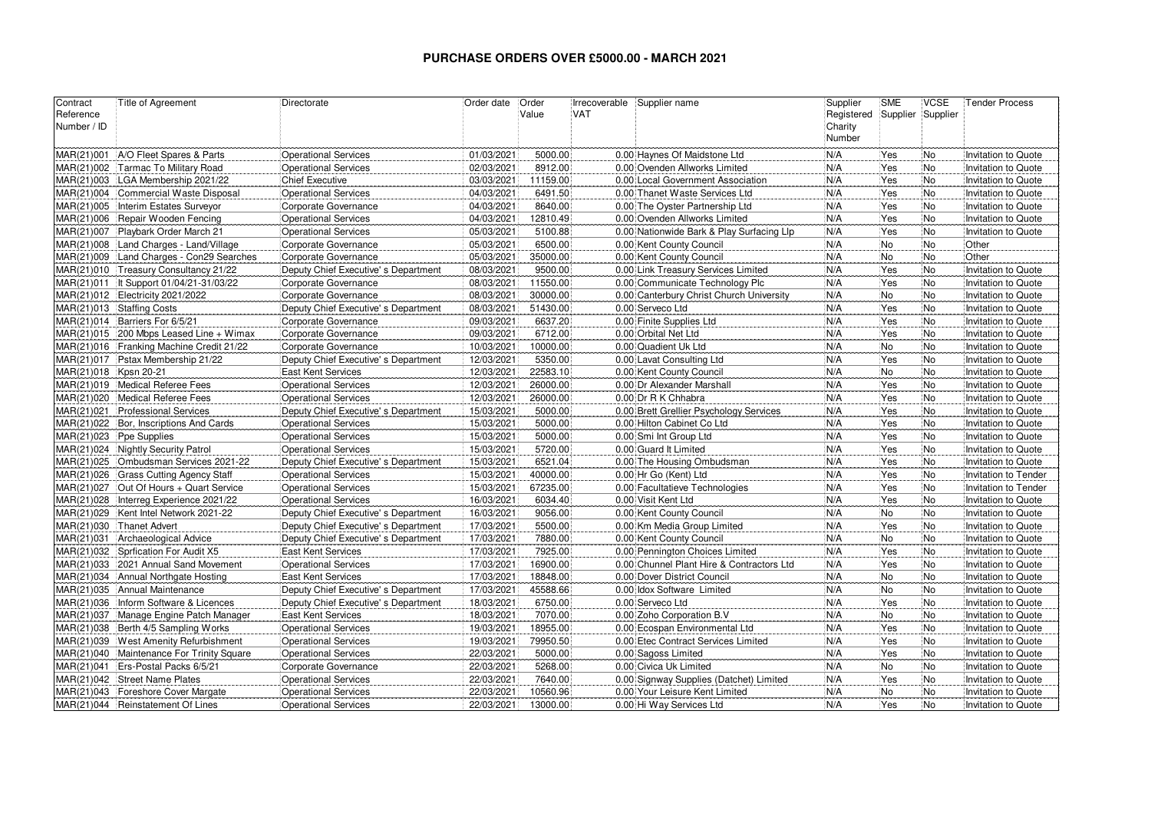## **PURCHASE ORDERS OVER £5000.00 - MARCH 2021**

| Contract    | Title of Agreement                        | Directorate                          | Order date | Order    | Irrecoverable | Supplier name                             | Supplier   | <b>SME</b>        | <b>VCSE</b> | <b>Tender Process</b> |
|-------------|-------------------------------------------|--------------------------------------|------------|----------|---------------|-------------------------------------------|------------|-------------------|-------------|-----------------------|
| Reference   |                                           |                                      |            | Value    | <b>VAT</b>    |                                           | Registered | Supplier Supplier |             |                       |
| Number / ID |                                           |                                      |            |          |               |                                           | Charity    |                   |             |                       |
|             |                                           |                                      |            |          |               |                                           | Number     |                   |             |                       |
| MAR(21)001  | A/O Fleet Spares & Parts                  | <b>Operational Services</b>          | 01/03/2021 | 5000.00  |               | 0.00 Haynes Of Maidstone Ltd              | N/A        | Yes               | No          | Invitation to Quote   |
|             | MAR(21)002 Tarmac To Military Road        | <b>Operational Services</b>          | 02/03/2021 | 8912.00  |               | 0.00 Ovenden Allworks Limited             | N/A        | Yes               | <b>No</b>   | Invitation to Quote   |
| MAR(21)003  | LGA Membership 2021/22                    | <b>Chief Executive</b>               | 03/03/2021 | 11159.00 |               | 0.00 Local Government Association         | N/A        | Yes               | <b>No</b>   | Invitation to Quote   |
|             | MAR(21)004 Commercial Waste Disposal      | <b>Operational Services</b>          | 04/03/2021 | 6491.50  |               | 0.00 Thanet Waste Services Ltd            | N/A        | Yes               | <b>No</b>   | Invitation to Quote   |
| MAR(21)005  | Interim Estates Surveyor                  | Corporate Governance                 | 04/03/2021 | 8640.00  |               | 0.00 The Oyster Partnership Ltd           | N/A        | Yes               | <b>No</b>   | Invitation to Quote   |
|             | MAR(21)006 Repair Wooden Fencing          | <b>Operational Services</b>          | 04/03/2021 | 12810.49 |               | 0.00 Ovenden Allworks Limited             | N/A        | Yes               | No          | Invitation to Quote   |
|             | MAR(21)007 Playbark Order March 21        | <b>Operational Services</b>          | 05/03/2021 | 5100.88  |               | 0.00 Nationwide Bark & Play Surfacing Llp | N/A        | Yes               | No          | Invitation to Quote   |
| MAR(21)008  | Land Charges - Land/Village               | Corporate Governance                 | 05/03/2021 | 6500.00  |               | 0.00 Kent County Council                  | N/A        | No                | No          | Other                 |
| MAR(21)009  | Land Charges - Con29 Searches             | Corporate Governance                 | 05/03/2021 | 35000.00 |               | 0.00 Kent County Council                  | N/A        | No                | No!         | Other                 |
| MAR(21)010  | Treasury Consultancy 21/22                | Deputy Chief Executive's Department  | 08/03/2021 | 9500.00  |               | 0.00 Link Treasury Services Limited       | N/A        | Yes               | No          | Invitation to Quote   |
|             | MAR(21)011   It Support 01/04/21-31/03/22 | Corporate Governance                 | 08/03/2021 | 11550.00 |               | 0.00 Communicate Technology Plc           | N/A        | Yes               | <b>No</b>   | Invitation to Quote   |
|             | MAR(21)012 Electricity 2021/2022          | Corporate Governance                 | 08/03/2021 | 30000.00 |               | 0.00 Canterbury Christ Church University  | N/A        | <b>No</b>         | <b>No</b>   | Invitation to Quote   |
|             | MAR(21)013 Staffing Costs                 | Deputy Chief Executive' s Department | 08/03/2021 | 51430.00 |               | 0.00 Serveco Ltd                          | N/A        | Yes               | <b>No</b>   | Invitation to Quote   |
|             | MAR(21)014 Barriers For 6/5/21            | Corporate Governance                 | 09/03/2021 | 6637.20  |               | 0.00 Finite Supplies Ltd                  | N/A        | Yes               | No.         | Invitation to Quote   |
|             | $MAR(21)015$ 200 Mbps Leased Line + Wimax | Corporate Governance                 | 09/03/2021 | 6712.00  |               | 0.00 Orbital Net Ltd                      | N/A        | Yes               | <b>No</b>   | Invitation to Quote   |
|             | MAR(21)016 Franking Machine Credit 21/22  | Corporate Governance                 | 10/03/2021 | 10000.00 |               | 0.00 Quadient Uk Ltd                      | N/A        | No                | No          | Invitation to Quote   |
|             | MAR(21)017 Pstax Membership 21/22         | Deputy Chief Executive's Department  | 12/03/2021 | 5350.00  |               | 0.00 Lavat Consulting Ltd                 | N/A        | Yes               | No          | Invitation to Quote   |
| MAR(21)018  | <b>Kpsn 20-21</b>                         | <b>East Kent Services</b>            | 12/03/2021 | 22583.10 |               | 0.00 Kent County Council                  | N/A        | No                | No          | Invitation to Quote   |
| MAR(21)019  | Medical Referee Fees                      | <b>Operational Services</b>          | 12/03/2021 | 26000.00 |               | 0.00 Dr Alexander Marshall                | N/A        | Yes               | No          | Invitation to Quote   |
| MAR(21)020  | Medical Referee Fees                      | <b>Operational Services</b>          | 12/03/2021 | 26000.00 |               | 0.00 Dr R K Chhabra                       | N/A        | Yes               | <b>No</b>   | Invitation to Quote   |
| MAR(21)021  | <b>Professional Services</b>              | Deputy Chief Executive's Department  | 15/03/2021 | 5000.00  |               | 0.00 Brett Grellier Psychology Services   | N/A        | Yes               | <b>No</b>   | Invitation to Quote   |
|             | MAR(21)022 Bor, Inscriptions And Cards    | <b>Operational Services</b>          | 15/03/2021 | 5000.00  |               | 0.00 Hilton Cabinet Co Ltd                | N/A        | Yes               | No.         | Invitation to Quote   |
|             | MAR(21)023 Ppe Supplies                   | <b>Operational Services</b>          | 15/03/2021 | 5000.00  |               | 0.00 Smi Int Group Ltd                    | N/A        | Yes               | <b>No</b>   | Invitation to Quote   |
|             | MAR(21)024 Nightly Security Patrol        | <b>Operational Services</b>          | 15/03/2021 | 5720.00  |               | 0.00 Guard It Limited                     | N/A        | Yes               | No          | Invitation to Quote   |
| MAR(21)025  | Ombudsman Services 2021-22                | Deputy Chief Executive's Department  | 15/03/2021 | 6521.04  |               | 0.00 The Housing Ombudsman                | N/A        | Yes               | No          | Invitation to Quote   |
|             | MAR(21)026 Grass Cutting Agency Staff     | <b>Operational Services</b>          | 15/03/2021 | 40000.00 |               | 0.00 Hr Go (Kent) Ltd                     | N/A        | Yes               | No          | Invitation to Tender  |
|             | MAR(21)027   Out Of Hours + Quart Service | <b>Operational Services</b>          | 15/03/2021 | 67235.00 |               | 0.00 Facultatieve Technologies            | N/A        | Yes               | No          | Invitation to Tender  |
| MAR(21)028  | Interreg Experience 2021/22               | <b>Operational Services</b>          | 16/03/2021 | 6034.40  |               | 0.00 Visit Kent Ltd                       | N/A        | Yes               | No          | Invitation to Quote   |
| MAR(21)029  | Kent Intel Network 2021-22                | Deputy Chief Executive's Department  | 16/03/2021 | 9056.00  |               | 0.00 Kent County Council                  | N/A        | No                | No!         | Invitation to Quote   |
|             | MAR(21)030 Thanet Advert                  | Deputy Chief Executive's Department  | 17/03/2021 | 5500.00  |               | 0.00 Km Media Group Limited               | N/A        | Yes               | <b>No</b>   | Invitation to Quote   |
| MAR(21)031  | Archaeological Advice                     | Deputy Chief Executive's Department  | 17/03/2021 | 7880.00  |               | 0.00 Kent County Council                  | N/A        | N <sub>o</sub>    | <b>No</b>   | Invitation to Quote   |
|             | MAR(21)032 Sprfication For Audit X5       | <b>East Kent Services</b>            | 17/03/2021 | 7925.00  |               | 0.00 Pennington Choices Limited           | N/A        | Yes               | <b>No</b>   | Invitation to Quote   |
|             | MAR(21)033 2021 Annual Sand Movement      | <b>Operational Services</b>          | 17/03/2021 | 16900.00 |               | 0.00 Chunnel Plant Hire & Contractors Ltd | N/A        | Yes               | <b>No</b>   | Invitation to Quote   |
|             | MAR(21)034 Annual Northgate Hosting       | East Kent Services                   | 17/03/2021 | 18848.00 |               | 0.00 Dover District Council               | N/A        | <b>No</b>         | <b>No</b>   | Invitation to Quote   |
|             | MAR(21)035 Annual Maintenance             | Deputy Chief Executive's Department  | 17/03/2021 | 45588.66 |               | 0.00 Idox Software Limited                | N/A        | No                | No)         | Invitation to Quote   |
| MAR(21)036  | Inform Software & Licences                | Deputy Chief Executive' s Department | 18/03/2021 | 6750.00  |               | 0.00 Serveco Ltd                          | N/A        | Yes               | No          | Invitation to Quote   |
| MAR(21)037  | Manage Engine Patch Manager               | East Kent Services                   | 18/03/2021 | 7070.00  |               | 0.00 Zoho Corporation B.V                 | N/A        | No                | No          | Invitation to Quote   |
| MAR(21)038  | Berth 4/5 Sampling Works                  | <b>Operational Services</b>          | 19/03/2021 | 18955.00 |               | 0.00 Ecospan Environmental Ltd            | N/A        | Yes               | No          | Invitation to Quote   |
| MAR(21)039  | West Amenity Refurbishment                | <b>Operational Services</b>          | 19/03/2021 | 79950.50 |               | 0.00 Etec Contract Services Limited       | N/A        | Yes               | No.         | Invitation to Quote   |
| MAR(21)040  | Maintenance For Trinity Square            | <b>Operational Services</b>          | 22/03/2021 | 5000.00  |               | 0.00 Sagoss Limited                       | N/A        | Yes               | <b>No</b>   | Invitation to Quote   |
| MAR(21)041  | Ers-Postal Packs 6/5/21                   | Corporate Governance                 | 22/03/2021 | 5268.00  |               | 0.00 Civica Uk Limited                    | N/A        | <b>No</b>         | <b>No</b>   | Invitation to Quote   |
| MAR(21)042  | <b>Street Name Plates</b>                 | <b>Operational Services</b>          | 22/03/2021 | 7640.00  |               | 0.00 Signway Supplies (Datchet) Limited   | N/A        | Yes               | <b>No</b>   | Invitation to Quote   |
| MAR(21)043  | Foreshore Cover Margate                   | <b>Operational Services</b>          | 22/03/2021 | 10560.96 |               | 0.00 Your Leisure Kent Limited            | N/A        | No                | No          | Invitation to Quote   |
|             | MAR(21)044   Reinstatement Of Lines       | <b>Operational Services</b>          | 22/03/2021 | 13000.00 |               | 0.00 Hi Way Services Ltd                  | N/A        | Yes               | No          | Invitation to Quote   |
|             |                                           |                                      |            |          |               |                                           |            |                   |             |                       |